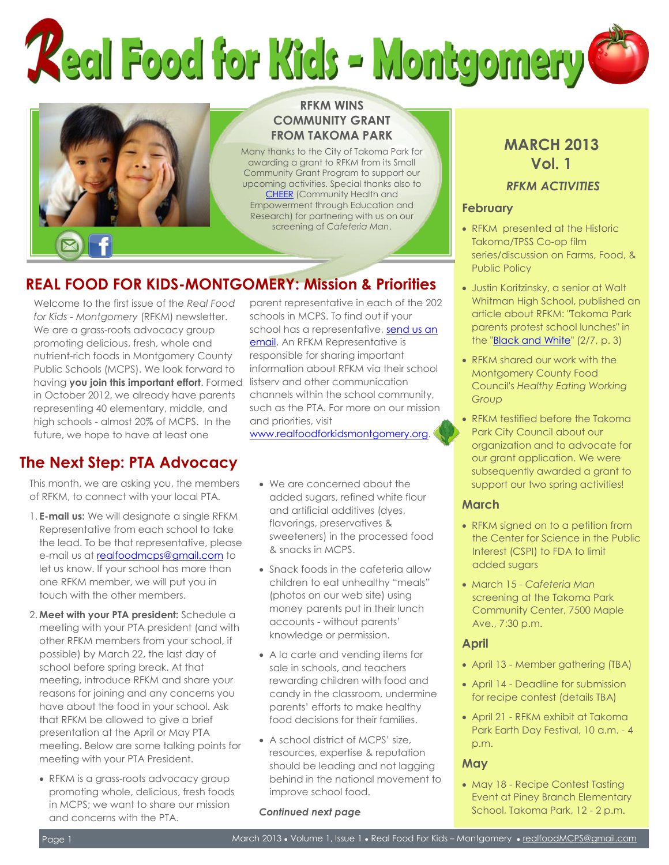# **Keal Food for Kids - Montgomery**



# **RFKM WINS COMMUNITY GRANT FROM TAKOMA PARK**

Many thanks to the City of Takoma Park for awarding a grant to RFKM from its Small Community Grant Program to support our upcoming activities. Special thanks also to [CHEER](http://communitycheer.org/) (Community Health and Empowerment through Education and Research) for partnering with us on our screening of *Cafeteria Man*.

# **REAL FOOD FOR KIDS-MONTGOMERY: Mission & Priorities**

Welcome to the first issue of the *Real Food for Kids - Montgomery* (RFKM) newsletter. We are a grass-roots advocacy group promoting delicious, fresh, whole and nutrient-rich foods in Montgomery County Public Schools (MCPS). We look forward to having **you join this important effort**. Formed in October 2012, we already have parents representing 40 elementary, middle, and high schools - almost 20% of MCPS. In the future, we hope to have at least one

# **The Next Step: PTA Advocacy**

This month, we are asking you, the members of RFKM, to connect with your local PTA.

- 1. **E-mail us:** We will designate a single RFKM Representative from each school to take the lead. To be that representative, please e-mail us a[t realfoodmcps@gmail.com](mailto:realfoodmcps@gmail.com) to let us know. If your school has more than one RFKM member, we will put you in touch with the other members.
- 2. **Meet with your PTA president:** Schedule a meeting with your PTA president (and with other RFKM members from your school, if possible) by March 22, the last day of school before spring break. At that meeting, introduce RFKM and share your reasons for joining and any concerns you have about the food in your school. Ask that RFKM be allowed to give a brief presentation at the April or May PTA meeting. Below are some talking points for meeting with your PTA President.
	- RFKM is a grass-roots advocacy group promoting whole, delicious, fresh foods in MCPS; we want to share our mission and concerns with the PTA.

parent representative in each of the 202 schools in MCPS. To find out if your school has a representative[, send us an](mailto:RealFoodMCPS@gmail.com)  [email.](mailto:RealFoodMCPS@gmail.com) An RFKM Representative is responsible for sharing important information about RFKM via their school listserv and other communication channels within the school community, such as the PTA. For more on our mission and priorities, visit

[www.realfoodforkidsmontgomery.org.](http://www.realfoodforkidsmontgomery.org/)

- We are concerned about the added sugars, refined white flour and artificial additives (dyes, flavorings, preservatives & sweeteners) in the processed food & snacks in MCPS.
- Snack foods in the cafeteria allow children to eat unhealthy "meals" (photos on our web site) using money parents put in their lunch accounts - without parents' knowledge or permission.
- A la carte and vending items for sale in schools, and teachers rewarding children with food and candy in the classroom, undermine parents' efforts to make healthy food decisions for their families.
- A school district of MCPS' size, resources, expertise & reputation should be leading and not lagging behind in the national movement to improve school food.

*Continued next page*

# **MARCH 2013 Vol. 1**

# *RFKM ACTIVITIES*

#### **February**

- RFKM presented at the Historic Takoma/TPSS Co-op film series/discussion on Farms, Food, & Public Policy
- Justin Koritzinsky, a senior at Walt Whitman High School, published an article about RFKM: "Takoma Park parents protest school lunches" in the ["Black and White"](http://www.theblackandwhite.net/) (2/7, p. 3)
- RFKM shared our work with the Montgomery County Food Council's *Healthy Eating Working Group*
- RFKM testified before the Takoma Park City Council about our organization and to advocate for our grant application. We were subsequently awarded a grant to support our two spring activities!

# **March**

- RFKM signed on to a petition from the Center for Science in the Public Interest (CSPI) to FDA to limit added sugars
- March 15 *Cafeteria Man* screening at the Takoma Park Community Center, 7500 Maple Ave., 7:30 p.m.

# **April**

- April 13 Member gathering (TBA)
- April 14 Deadline for submission for recipe contest (details TBA)
- April 21 RFKM exhibit at Takoma Park Earth Day Festival, 10 a.m. - 4 p.m.

# **May**

• May 18 - Recipe Contest Tasting Event at Piney Branch Elementary School, Takoma Park, 12 - 2 p.m.